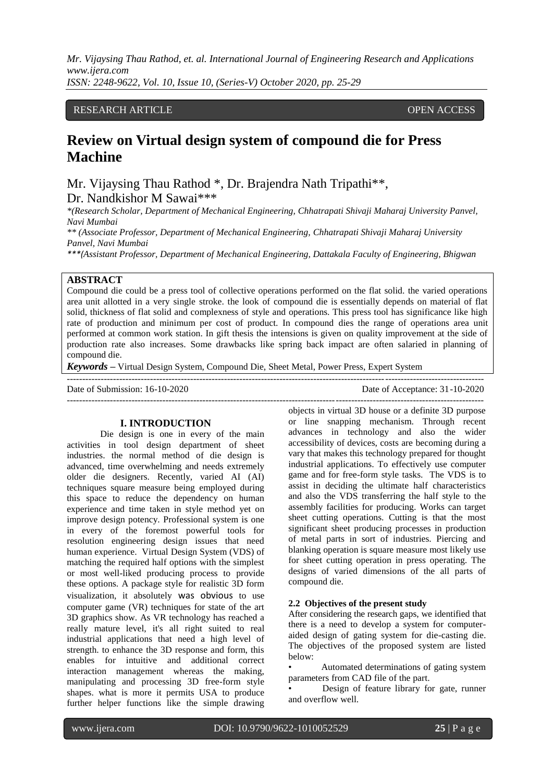*Mr. Vijaysing Thau Rathod, et. al. International Journal of Engineering Research and Applications www.ijera.com ISSN: 2248-9622, Vol. 10, Issue 10, (Series-V) October 2020, pp. 25-29*

### RESEARCH ARTICLE **CONSERVERS** OPEN ACCESS

# **Review on Virtual design system of compound die for Press Machine**

Mr. Vijaysing Thau Rathod \*, Dr. Brajendra Nath Tripathi\*\*, Dr. Nandkishor M Sawai\*\*\*

*\*(Research Scholar, Department of Mechanical Engineering, Chhatrapati Shivaji Maharaj University Panvel, Navi Mumbai* 

*\*\* (Associate Professor, Department of Mechanical Engineering, Chhatrapati Shivaji Maharaj University Panvel, Navi Mumbai* 

*\*\*\*(Assistant Professor, Department of Mechanical Engineering, Dattakala Faculty of Engineering, Bhigwan*

## **ABSTRACT**

Compound die could be a press tool of collective operations performed on the flat solid. the varied operations area unit allotted in a very single stroke. the look of compound die is essentially depends on material of flat solid, thickness of flat solid and complexness of style and operations. This press tool has significance like high rate of production and minimum per cost of product. In compound dies the range of operations area unit performed at common work station. In gift thesis the intensions is given on quality improvement at the side of production rate also increases. Some drawbacks like spring back impact are often salaried in planning of compound die.

*Keywords* **–** Virtual Design System, Compound Die, Sheet Metal, Power Press, Expert System

--------------------------------------------------------------------------------------------------------------------------------------- Date of Submission: 16-10-2020 Date of Acceptance: 31-10-2020 ---------------------------------------------------------------------------------------------------------------------------------------

#### **I. INTRODUCTION**

Die design is one in every of the main activities in tool design department of sheet industries. the normal method of die design is advanced, time overwhelming and needs extremely older die designers. Recently, varied AI (AI) techniques square measure being employed during this space to reduce the dependency on human experience and time taken in style method yet on improve design potency. Professional system is one in every of the foremost powerful tools for resolution engineering design issues that need human experience. Virtual Design System (VDS) of matching the required half options with the simplest or most well-liked producing process to provide these options. A package style for realistic 3D form visualization, it absolutely was obvious to use computer game (VR) techniques for state of the art 3D graphics show. As VR technology has reached a really mature level, it's all right suited to real industrial applications that need a high level of strength. to enhance the 3D response and form, this enables for intuitive and additional correct interaction management whereas the making, manipulating and processing 3D free-form style shapes. what is more it permits USA to produce further helper functions like the simple drawing

objects in virtual 3D house or a definite 3D purpose or line snapping mechanism. Through recent advances in technology and also the wider accessibility of devices, costs are becoming during a vary that makes this technology prepared for thought industrial applications. To effectively use computer game and for free-form style tasks. The VDS is to assist in deciding the ultimate half characteristics and also the VDS transferring the half style to the assembly facilities for producing. Works can target sheet cutting operations. Cutting is that the most significant sheet producing processes in production of metal parts in sort of industries. Piercing and blanking operation is square measure most likely use for sheet cutting operation in press operating. The designs of varied dimensions of the all parts of compound die.

#### **2.2 Objectives of the present study**

After considering the research gaps, we identified that there is a need to develop a system for computeraided design of gating system for die-casting die. The objectives of the proposed system are listed below:

• Automated determinations of gating system parameters from CAD file of the part.

Design of feature library for gate, runner and overflow well.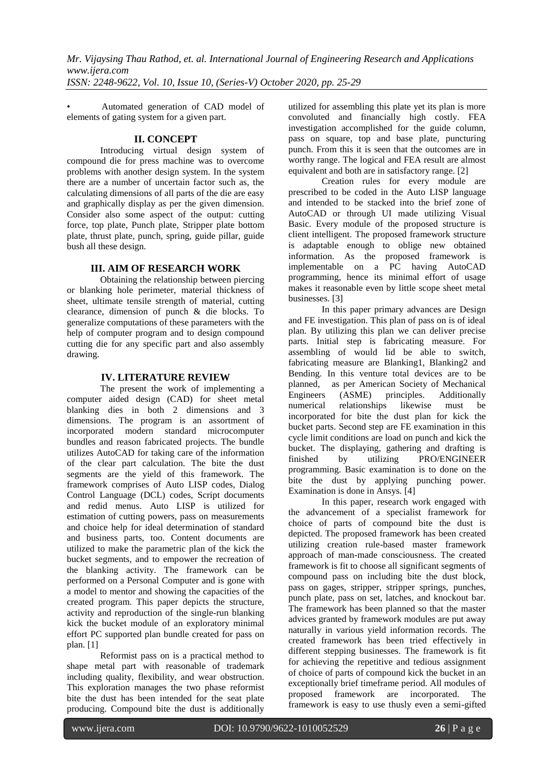*Mr. Vijaysing Thau Rathod, et. al. International Journal of Engineering Research and Applications www.ijera.com ISSN: 2248-9622, Vol. 10, Issue 10, (Series-V) October 2020, pp. 25-29*

• Automated generation of CAD model of elements of gating system for a given part.

#### **II. CONCEPT**

Introducing virtual design system of compound die for press machine was to overcome problems with another design system. In the system there are a number of uncertain factor such as, the calculating dimensions of all parts of the die are easy and graphically display as per the given dimension. Consider also some aspect of the output: cutting force, top plate, Punch plate, Stripper plate bottom plate, thrust plate, punch, spring, guide pillar, guide bush all these design.

# **III. AIM OF RESEARCH WORK**

Obtaining the relationship between piercing or blanking hole perimeter, material thickness of sheet, ultimate tensile strength of material, cutting clearance, dimension of punch & die blocks. To generalize computations of these parameters with the help of computer program and to design compound cutting die for any specific part and also assembly drawing.

### **IV. LITERATURE REVIEW**

The present the work of implementing a computer aided design (CAD) for sheet metal blanking dies in both 2 dimensions and 3 dimensions. The program is an assortment of incorporated modern standard microcomputer bundles and reason fabricated projects. The bundle utilizes AutoCAD for taking care of the information of the clear part calculation. The bite the dust segments are the yield of this framework. The framework comprises of Auto LISP codes, Dialog Control Language (DCL) codes, Script documents and redid menus. Auto LISP is utilized for estimation of cutting powers, pass on measurements and choice help for ideal determination of standard and business parts, too. Content documents are utilized to make the parametric plan of the kick the bucket segments, and to empower the recreation of the blanking activity. The framework can be performed on a Personal Computer and is gone with a model to mentor and showing the capacities of the created program. This paper depicts the structure, activity and reproduction of the single-run blanking kick the bucket module of an exploratory minimal effort PC supported plan bundle created for pass on plan. [1]

Reformist pass on is a practical method to shape metal part with reasonable of trademark including quality, flexibility, and wear obstruction. This exploration manages the two phase reformist bite the dust has been intended for the seat plate producing. Compound bite the dust is additionally

utilized for assembling this plate yet its plan is more convoluted and financially high costly. FEA investigation accomplished for the guide column, pass on square, top and base plate, puncturing punch. From this it is seen that the outcomes are in worthy range. The logical and FEA result are almost equivalent and both are in satisfactory range. [2]

Creation rules for every module are prescribed to be coded in the Auto LISP language and intended to be stacked into the brief zone of AutoCAD or through UI made utilizing Visual Basic. Every module of the proposed structure is client intelligent. The proposed framework structure is adaptable enough to oblige new obtained information. As the proposed framework is implementable on a PC having AutoCAD programming, hence its minimal effort of usage makes it reasonable even by little scope sheet metal businesses. [3]

In this paper primary advances are Design and FE investigation. This plan of pass on is of ideal plan. By utilizing this plan we can deliver precise parts. Initial step is fabricating measure. For assembling of would lid be able to switch, fabricating measure are Blanking1, Blanking2 and Bending. In this venture total devices are to be planned, as per American Society of Mechanical Engineers (ASME) principles. Additionally numerical relationships likewise must be incorporated for bite the dust plan for kick the bucket parts. Second step are FE examination in this cycle limit conditions are load on punch and kick the bucket. The displaying, gathering and drafting is finished by utilizing PRO/ENGINEER programming. Basic examination is to done on the bite the dust by applying punching power. Examination is done in Ansys. [4]

In this paper, research work engaged with the advancement of a specialist framework for choice of parts of compound bite the dust is depicted. The proposed framework has been created utilizing creation rule-based master framework approach of man-made consciousness. The created framework is fit to choose all significant segments of compound pass on including bite the dust block, pass on gages, stripper, stripper springs, punches, punch plate, pass on set, latches, and knockout bar. The framework has been planned so that the master advices granted by framework modules are put away naturally in various yield information records. The created framework has been tried effectively in different stepping businesses. The framework is fit for achieving the repetitive and tedious assignment of choice of parts of compound kick the bucket in an exceptionally brief timeframe period. All modules of<br>proposed framework are incorporated. The proposed framework are incorporated. The framework is easy to use thusly even a semi-gifted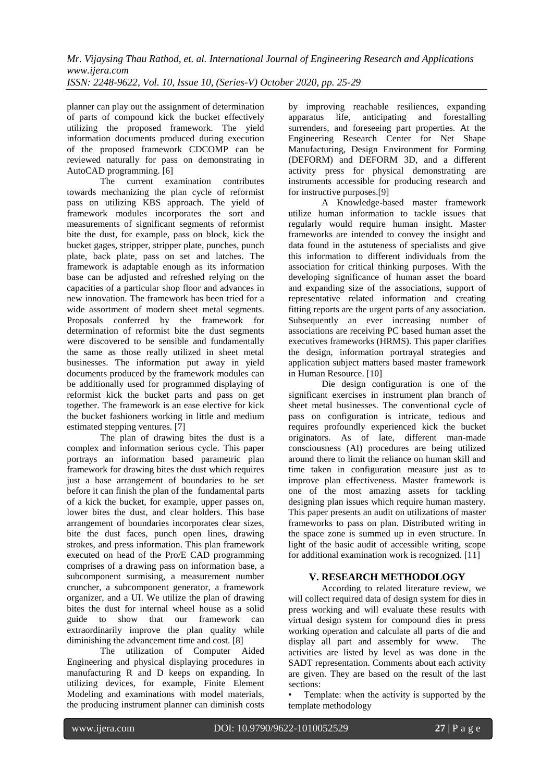planner can play out the assignment of determination of parts of compound kick the bucket effectively utilizing the proposed framework. The yield information documents produced during execution of the proposed framework CDCOMP can be reviewed naturally for pass on demonstrating in AutoCAD programming. [6]

The current examination contributes towards mechanizing the plan cycle of reformist pass on utilizing KBS approach. The yield of framework modules incorporates the sort and measurements of significant segments of reformist bite the dust, for example, pass on block, kick the bucket gages, stripper, stripper plate, punches, punch plate, back plate, pass on set and latches. The framework is adaptable enough as its information base can be adjusted and refreshed relying on the capacities of a particular shop floor and advances in new innovation. The framework has been tried for a wide assortment of modern sheet metal segments. Proposals conferred by the framework for determination of reformist bite the dust segments were discovered to be sensible and fundamentally the same as those really utilized in sheet metal businesses. The information put away in yield documents produced by the framework modules can be additionally used for programmed displaying of reformist kick the bucket parts and pass on get together. The framework is an ease elective for kick the bucket fashioners working in little and medium estimated stepping ventures. [7]

The plan of drawing bites the dust is a complex and information serious cycle. This paper portrays an information based parametric plan framework for drawing bites the dust which requires just a base arrangement of boundaries to be set before it can finish the plan of the fundamental parts of a kick the bucket, for example, upper passes on, lower bites the dust, and clear holders. This base arrangement of boundaries incorporates clear sizes, bite the dust faces, punch open lines, drawing strokes, and press information. This plan framework executed on head of the Pro/E CAD programming comprises of a drawing pass on information base, a subcomponent surmising, a measurement number cruncher, a subcomponent generator, a framework organizer, and a UI. We utilize the plan of drawing bites the dust for internal wheel house as a solid guide to show that our framework can extraordinarily improve the plan quality while diminishing the advancement time and cost. [8]

The utilization of Computer Aided Engineering and physical displaying procedures in manufacturing R and D keeps on expanding. In utilizing devices, for example, Finite Element Modeling and examinations with model materials, the producing instrument planner can diminish costs

by improving reachable resiliences, expanding apparatus life, anticipating and forestalling surrenders, and foreseeing part properties. At the Engineering Research Center for Net Shape Manufacturing, Design Environment for Forming (DEFORM) and DEFORM 3D, and a different activity press for physical demonstrating are instruments accessible for producing research and for instructive purposes.[9]

A Knowledge-based master framework utilize human information to tackle issues that regularly would require human insight. Master frameworks are intended to convey the insight and data found in the astuteness of specialists and give this information to different individuals from the association for critical thinking purposes. With the developing significance of human asset the board and expanding size of the associations, support of representative related information and creating fitting reports are the urgent parts of any association. Subsequently an ever increasing number of associations are receiving PC based human asset the executives frameworks (HRMS). This paper clarifies the design, information portrayal strategies and application subject matters based master framework in Human Resource. [10]

Die design configuration is one of the significant exercises in instrument plan branch of sheet metal businesses. The conventional cycle of pass on configuration is intricate, tedious and requires profoundly experienced kick the bucket originators. As of late, different man-made consciousness (AI) procedures are being utilized around there to limit the reliance on human skill and time taken in configuration measure just as to improve plan effectiveness. Master framework is one of the most amazing assets for tackling designing plan issues which require human mastery. This paper presents an audit on utilizations of master frameworks to pass on plan. Distributed writing in the space zone is summed up in even structure. In light of the basic audit of accessible writing, scope for additional examination work is recognized. [11]

# **V. RESEARCH METHODOLOGY**

According to related literature review, we will collect required data of design system for dies in press working and will evaluate these results with virtual design system for compound dies in press working operation and calculate all parts of die and display all part and assembly for www. The activities are listed by level as was done in the SADT representation. Comments about each activity are given. They are based on the result of the last sections:

Template: when the activity is supported by the template methodology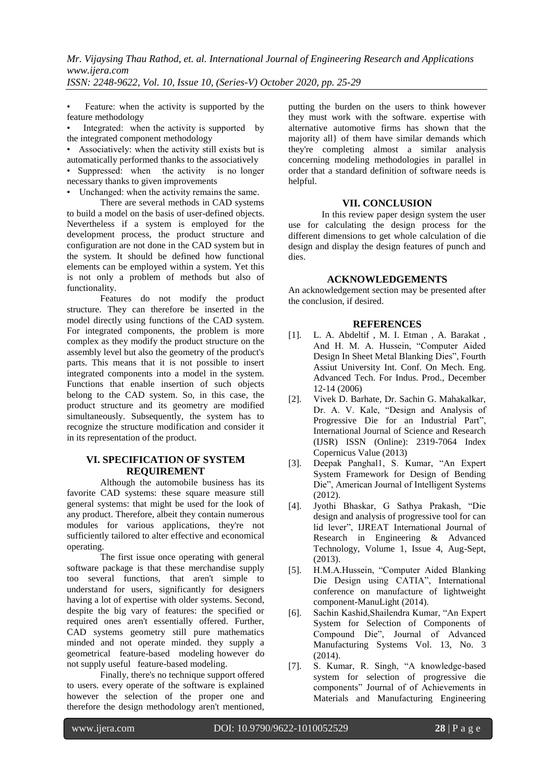Feature: when the activity is supported by the feature methodology

Integrated: when the activity is supported by the integrated component methodology

• Associatively: when the activity still exists but is automatically performed thanks to the associatively

• Suppressed: when the activity is no longer necessary thanks to given improvements

• Unchanged: when the activity remains the same.

There are several methods in CAD systems to build a model on the basis of user-defined objects. Nevertheless if a system is employed for the development process, the product structure and configuration are not done in the CAD system but in the system. It should be defined how functional elements can be employed within a system. Yet this is not only a problem of methods but also of functionality.

Features do not modify the product structure. They can therefore be inserted in the model directly using functions of the CAD system. For integrated components, the problem is more complex as they modify the product structure on the assembly level but also the geometry of the product's parts. This means that it is not possible to insert integrated components into a model in the system. Functions that enable insertion of such objects belong to the CAD system. So, in this case, the product structure and its geometry are modified simultaneously. Subsequently, the system has to recognize the structure modification and consider it in its representation of the product.

# **VI. SPECIFICATION OF SYSTEM REQUIREMENT**

Although the automobile business has its favorite CAD systems: these square measure still general systems: that might be used for the look of any product. Therefore, albeit they contain numerous modules for various applications, they're not sufficiently tailored to alter effective and economical operating.

The first issue once operating with general software package is that these merchandise supply too several functions, that aren't simple to understand for users, significantly for designers having a lot of expertise with older systems. Second, despite the big vary of features: the specified or required ones aren't essentially offered. Further, CAD systems geometry still pure mathematics minded and not operate minded. they supply a geometrical feature-based modeling however do not supply useful feature-based modeling.

Finally, there's no technique support offered to users. every operate of the software is explained however the selection of the proper one and therefore the design methodology aren't mentioned,

putting the burden on the users to think however they must work with the software. expertise with alternative automotive firms has shown that the majority all} of them have similar demands which they're completing almost a similar analysis concerning modeling methodologies in parallel in order that a standard definition of software needs is helpful.

# **VII. CONCLUSION**

In this review paper design system the user use for calculating the design process for the different dimensions to get whole calculation of die design and display the design features of punch and dies.

### **ACKNOWLEDGEMENTS**

An acknowledgement section may be presented after the conclusion, if desired.

### **REFERENCES**

- [1]. L. A. Abdeltif , M. I. Etman , A. Barakat , And H. M. A. Hussein, "Computer Aided Design In Sheet Metal Blanking Dies", Fourth Assiut University Int. Conf. On Mech. Eng. Advanced Tech. For Indus. Prod., December 12-14 (2006)
- [2]. Vivek D. Barhate, Dr. Sachin G. Mahakalkar, Dr. A. V. Kale, "Design and Analysis of Progressive Die for an Industrial Part", International Journal of Science and Research (IJSR) ISSN (Online): 2319-7064 Index Copernicus Value (2013)
- [3]. Deepak Panghal1, S. Kumar, "An Expert System Framework for Design of Bending Die", American Journal of Intelligent Systems (2012).
- [4]. Jyothi Bhaskar, G Sathya Prakash, "Die design and analysis of progressive tool for can lid lever", IJREAT International Journal of Research in Engineering & Advanced Technology, Volume 1, Issue 4, Aug-Sept, (2013).
- [5]. H.M.A.Hussein, "Computer Aided Blanking Die Design using CATIA", International conference on manufacture of lightweight component-ManuLight (2014).
- [6]. Sachin Kashid,Shailendra Kumar, "An Expert System for Selection of Components of Compound Die", Journal of Advanced Manufacturing Systems Vol. 13, No. 3 (2014).
- [7]. S. Kumar, R. Singh, "A knowledge-based system for selection of progressive die components" Journal of of Achievements in Materials and Manufacturing Engineering